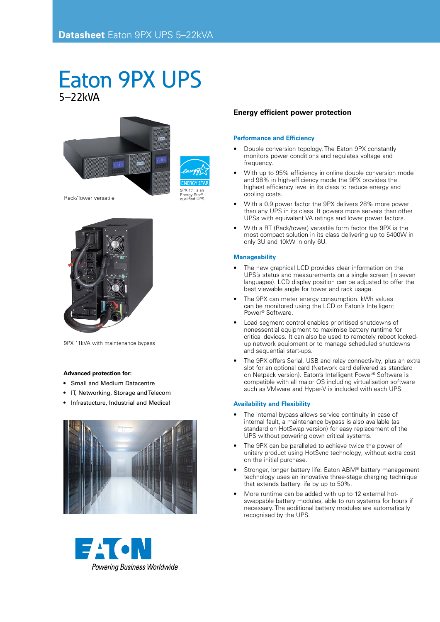# Eaton 9PX UPS 5–22kVA





9PX 11kVA with maintenance bypass

## **Advanced protection for:**

- • Small and Medium Datacentre
- IT, Networking, Storage and Telecom
- • Infrastucture, Industrial and Medical





# **Energy efficient power protection**

#### **Performance and Efficiency**

- Double conversion topology. The Eaton 9PX constantly monitors power conditions and regulates voltage and frequency.
- With up to 95% efficiency in online double conversion mode and 98% in high-efficiency mode the 9PX provides the highest efficiency level in its class to reduce energy and cooling costs.
- With a 0.9 power factor the 9PX delivers 28% more power than any UPS in its class. It powers more servers than other UPSs with equivalent VA ratings and lower power factors.
- With a RT (Rack/tower) versatile form factor the 9PX is the most compact solution in its class delivering up to 5400W in only 3U and 10kW in only 6U.

### **Manageability**

- The new graphical LCD provides clear information on the UPS's status and measurements on a single screen (in seven languages). LCD display position can be adjusted to offer the best viewable angle for tower and rack usage.
- The 9PX can meter energy consumption. kWh values can be monitored using the LCD or Eaton's Intelligent Power® Software.
- Load segment control enables prioritised shutdowns of nonessential equipment to maximise battery runtime for critical devices. It can also be used to remotely reboot lockedup network equipment or to manage scheduled shutdowns and sequential start-ups.
- The 9PX offers Serial, USB and relay connectivity, plus an extra slot for an optional card (Network card delivered as standard on Netpack version). Eaton's Intelligent Power® Software is compatible with all major OS including virtualisation software such as VMware and Hyper-V is included with each UPS.

### **Availability and Flexibility**

- The internal bypass allows service continuity in case of internal fault, a maintenance bypass is also available (as standard on HotSwap version) for easy replacement of the UPS without powering down critical systems.
- The 9PX can be paralleled to achieve twice the power of unitary product using HotSync technology, without extra cost on the initial purchase.
- Stronger, longer battery life: Eaton ABM® battery management technology uses an innovative three-stage charging technique that extends battery life by up to 50%.
- More runtime can be added with up to 12 external hotswappable battery modules, able to run systems for hours if necessary. The additional battery modules are automatically recognised by the UPS.